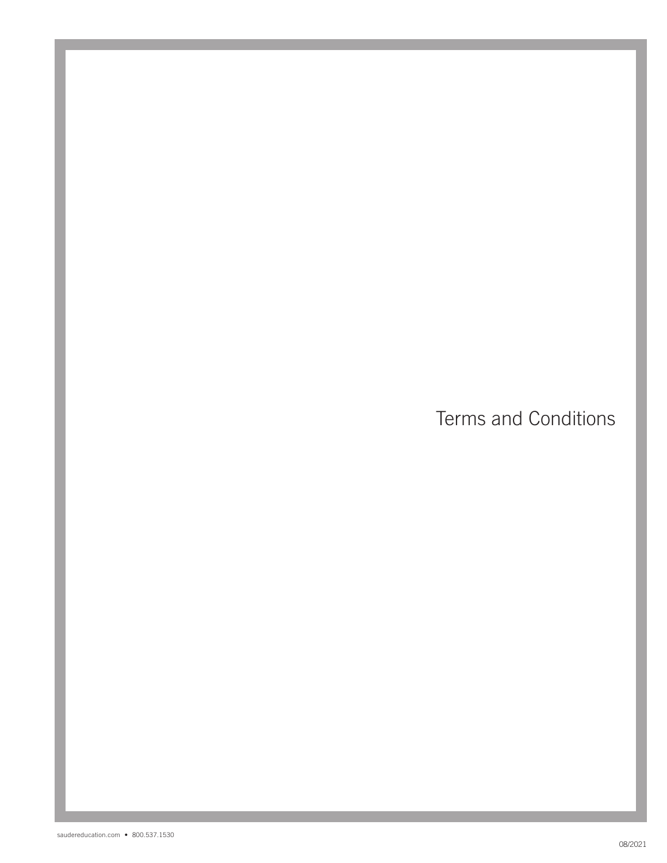Terms and Conditions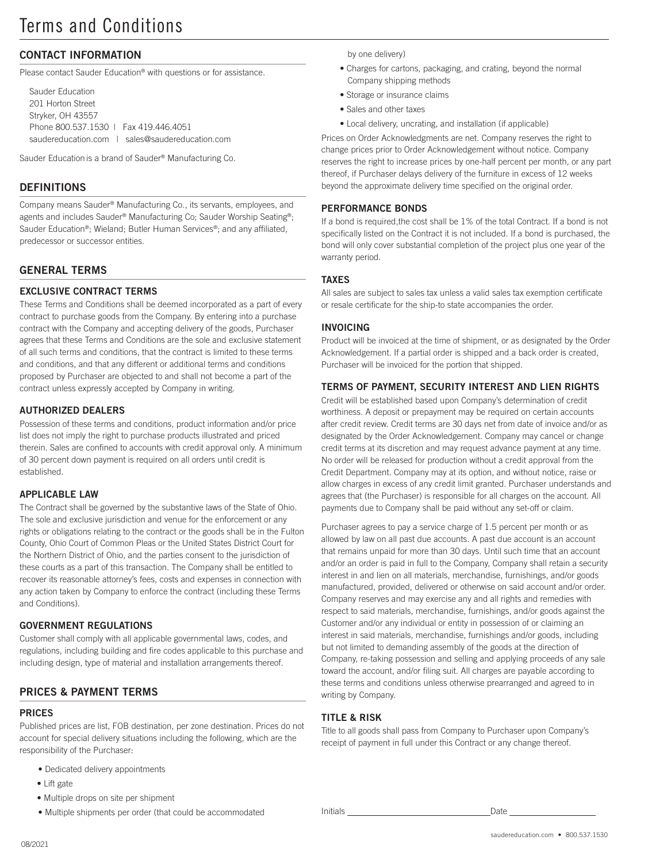# CONTACT INFORMATION

Please contact Sauder Education® with questions or for assistance.

```
Sauder Education
201 Horton Street
Stryker, OH 43557
Phone 800.537.1530 | Fax 419.446.4051
saudereducation.comsales@saudereducation.com
```
Sauder Education is a brand of Sauder® Manufacturing Co.

### **DEFINITIONS**

Company means Sauder® Manufacturing Co., its servants, employees, and agents and includes Sauder® Manufacturing Co; Sauder Worship Seating®; Sauder Education®; Wieland; Butler Human Services®; and any affiliated, predecessor or successor entities.

# GENERAL TERMS

### EXCLUSIVE CONTRACT TERMS

These Terms and Conditions shall be deemed incorporated as a part of every contract to purchase goods from the Company. By entering into a purchase contract with the Company and accepting delivery of the goods, Purchaser agrees that these Terms and Conditions are the sole and exclusive statement of all such terms and conditions, that the contract is limited to these terms and conditions, and that any different or additional terms and conditions proposed by Purchaser are objected to and shall not become a part of the contract unless expressly accepted by Company in writing.

#### AUTHORIZED DEALERS

Possession of these terms and conditions, product information and/or price list does not imply the right to purchase products illustrated and priced therein. Sales are confined to accounts with credit approval only. A minimum of 30 percent down payment is required on all orders until credit is established.

#### APPLICABLE LAW

The Contract shall be governed by the substantive laws of the State of Ohio. The sole and exclusive jurisdiction and venue for the enforcement or any rights or obligations relating to the contract or the goods shall be in the Fulton County, Ohio Court of Common Pleas or the United States District Court for the Northern District of Ohio, and the parties consent to the jurisdiction of these courts as a part of this transaction. The Company shall be entitled to recover its reasonable attorney's fees, costs and expenses in connection with any action taken by Company to enforce the contract (including these Terms and Conditions).

#### GOVERNMENT REGULATIONS

Customer shall comply with all applicable governmental laws, codes, and regulations, including building and fire codes applicable to this purchase and including design, type of material and installation arrangements thereof.

# PRICES & PAYMENT TERMS

# PRICES

Published prices are list, FOB destination, per zone destination. Prices do not account for special delivery situations including the following, which are the responsibility of the Purchaser:

- Dedicated delivery appointments
- Lift gate
- Multiple drops on site per shipment
- Multiple shipments per order (that could be accommodated Initials Date

by one delivery)

- Charges for cartons, packaging, and crating, beyond the normal Company shipping methods
- Storage or insurance claims
- Sales and other taxes
- Local delivery, uncrating, and installation (if applicable)

Prices on Order Acknowledgments are net. Company reserves the right to change prices prior to Order Acknowledgement without notice. Company reserves the right to increase prices by one-half percent per month, or any part thereof, if Purchaser delays delivery of the furniture in excess of 12 weeks beyond the approximate delivery time specified on the original order.

#### PERFORMANCE BONDS

If a bond is required,the cost shall be 1% of the total Contract. If a bond is not specifically listed on the Contract it is not included. If a bond is purchased, the bond will only cover substantial completion of the project plus one year of the warranty period.

#### TAXES

All sales are subject to sales tax unless a valid sales tax exemption certificate or resale certificate for the ship-to state accompanies the order.

#### INVOICING

Product will be invoiced at the time of shipment, or as designated by the Order Acknowledgement. If a partial order is shipped and a back order is created, Purchaser will be invoiced for the portion that shipped.

#### TERMS OF PAYMENT, SECURITY INTEREST AND LIEN RIGHTS

Credit will be established based upon Company's determination of credit worthiness. A deposit or prepayment may be required on certain accounts after credit review. Credit terms are 30 days net from date of invoice and/or as designated by the Order Acknowledgement. Company may cancel or change credit terms at its discretion and may request advance payment at any time. No order will be released for production without a credit approval from the Credit Department. Company may at its option, and without notice, raise or allow charges in excess of any credit limit granted. Purchaser understands and agrees that (the Purchaser) is responsible for all charges on the account. All payments due to Company shall be paid without any set-off or claim.

Purchaser agrees to pay a service charge of 1.5 percent per month or as allowed by law on all past due accounts. A past due account is an account that remains unpaid for more than 30 days. Until such time that an account and/or an order is paid in full to the Company, Company shall retain a security interest in and lien on all materials, merchandise, furnishings, and/or goods manufactured, provided, delivered or otherwise on said account and/or order. Company reserves and may exercise any and all rights and remedies with respect to said materials, merchandise, furnishings, and/or goods against the Customer and/or any individual or entity in possession of or claiming an interest in said materials, merchandise, furnishings and/or goods, including but not limited to demanding assembly of the goods at the direction of Company, re-taking possession and selling and applying proceeds of any sale toward the account, and/or filing suit. All charges are payable according to these terms and conditions unless otherwise prearranged and agreed to in writing by Company.

#### TITLE & RISK

Title to all goods shall pass from Company to Purchaser upon Company's receipt of payment in full under this Contract or any change thereof.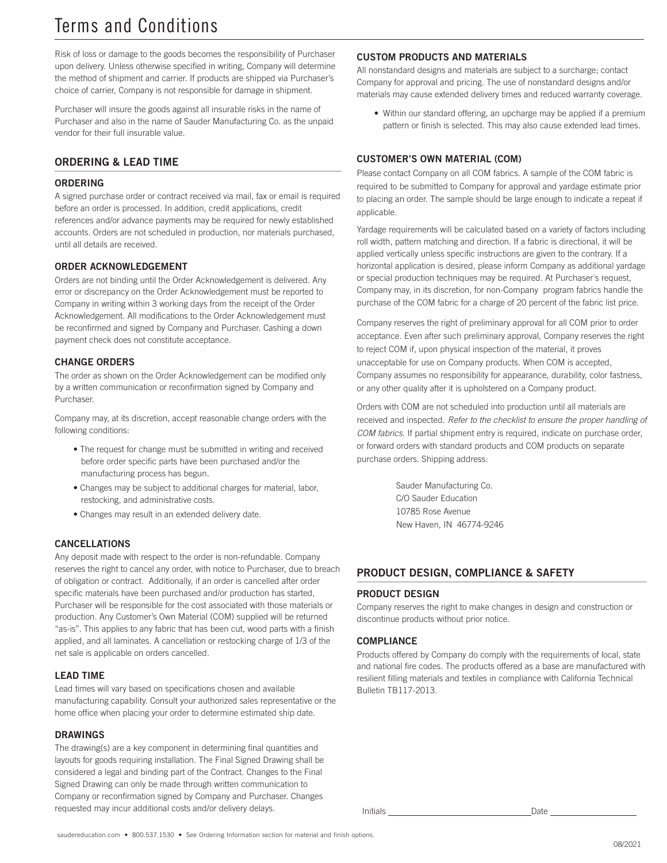# Terms and Conditions

Risk of loss or damage to the goods becomes the responsibility of Purchaser upon delivery. Unless otherwise specified in writing, Company will determine the method of shipment and carrier. If products are shipped via Purchaser's choice of carrier, Company is not responsible for damage in shipment.

Purchaser will insure the goods against all insurable risks in the name of Purchaser and also in the name of Sauder Manufacturing Co. as the unpaid vendor for their full insurable value.

### ORDERING & LEAD TIME

#### ORDERING

A signed purchase order or contract received via mail, fax or email is required before an order is processed. In addition, credit applications, credit references and/or advance payments may be required for newly established accounts. Orders are not scheduled in production, nor materials purchased, until all details are received.

#### ORDER ACKNOWLEDGEMENT

Orders are not binding until the Order Acknowledgement is delivered. Any error or discrepancy on the Order Acknowledgement must be reported to Company in writing within 3 working days from the receipt of the Order Acknowledgement. All modifications to the Order Acknowledgement must be reconfirmed and signed by Company and Purchaser. Cashing a down payment check does not constitute acceptance.

#### CHANGE ORDERS

The order as shown on the Order Acknowledgement can be modified only by a written communication or reconfirmation signed by Company and Purchaser.

Company may, at its discretion, accept reasonable change orders with the following conditions:

- The request for change must be submitted in writing and received before order specific parts have been purchased and/or the manufacturing process has begun.
- Changes may be subject to additional charges for material, labor, restocking, and administrative costs.
- Changes may result in an extended delivery date.

#### CANCELLATIONS

Any deposit made with respect to the order is non-refundable. Company reserves the right to cancel any order, with notice to Purchaser, due to breach of obligation or contract. Additionally, if an order is cancelled after order specific materials have been purchased and/or production has started, Purchaser will be responsible for the cost associated with those materials or production. Any Customer's Own Material (COM) supplied will be returned "as-is''. This applies to any fabric that has been cut, wood parts with a finish applied, and all laminates. A cancellation or restocking charge of 1/3 of the net sale is applicable on orders cancelled.

#### LEAD TIME

Lead times will vary based on specifications chosen and available manufacturing capability. Consult your authorized sales representative or the home office when placing your order to determine estimated ship date.

#### DRAWINGS

The drawing(s) are a key component in determining final quantities and layouts for goods requiring installation. The Final Signed Drawing shall be considered a legal and binding part of the Contract. Changes to the Final Signed Drawing can only be made through written communication to Company or reconfirmation signed by Company and Purchaser. Changes requested may incur additional costs and/or delivery delays.

#### CUSTOM PRODUCTS AND MATERIALS

All nonstandard designs and materials are subject to a surcharge; contact Company for approval and pricing. The use of nonstandard designs and/or materials may cause extended delivery times and reduced warranty coverage.

• Within our standard offering, an upcharge may be applied if a premium pattern or finish is selected. This may also cause extended lead times.

#### CUSTOMER'S OWN MATERIAL (COM)

Please contact Company on all COM fabrics. A sample of the COM fabric is required to be submitted to Company for approval and yardage estimate prior to placing an order. The sample should be large enough to indicate a repeat if applicable.

Yardage requirements will be calculated based on a variety of factors including roll width, pattern matching and direction. If a fabric is directional, it will be applied vertically unless specific instructions are given to the contrary. If a horizontal application is desired, please inform Company as additional yardage or special production techniques may be required. At Purchaser's request, Company may, in its discretion, for non-Company program fabrics handle the purchase of the COM fabric for a charge of 20 percent of the fabric list price.

Company reserves the right of preliminary approval for all COM prior to order acceptance. Even after such preliminary approval, Company reserves the right to reject COM if, upon physical inspection of the material, it proves unacceptable for use on Company products. When COM is accepted, Company assumes no responsibility for appearance, durability, color fastness, or any other quality after it is upholstered on a Company product.

Orders with COM are not scheduled into production until all materials are received and inspected. *Refer to the checklist to ensure the proper handling of COM fabrics.* If partial shipment entry is required, indicate on purchase order, or forward orders with standard products and COM products on separate purchase orders. Shipping address:

> Sauder Manufacturing Co. C/O Sauder Education 10785 Rose Avenue New Haven, IN 46774-9246

#### PRODUCT DESIGN, COMPLIANCE & SAFETY

#### PRODUCT DESIGN

Company reserves the right to make changes in design and construction or discontinue products without prior notice.

#### **COMPLIANCE**

Products offered by Company do comply with the requirements of local, state and national fire codes. The products offered as a base are manufactured with resilient filling materials and textiles in compliance with California Technical Bulletin TB117-2013.

Initials **Date**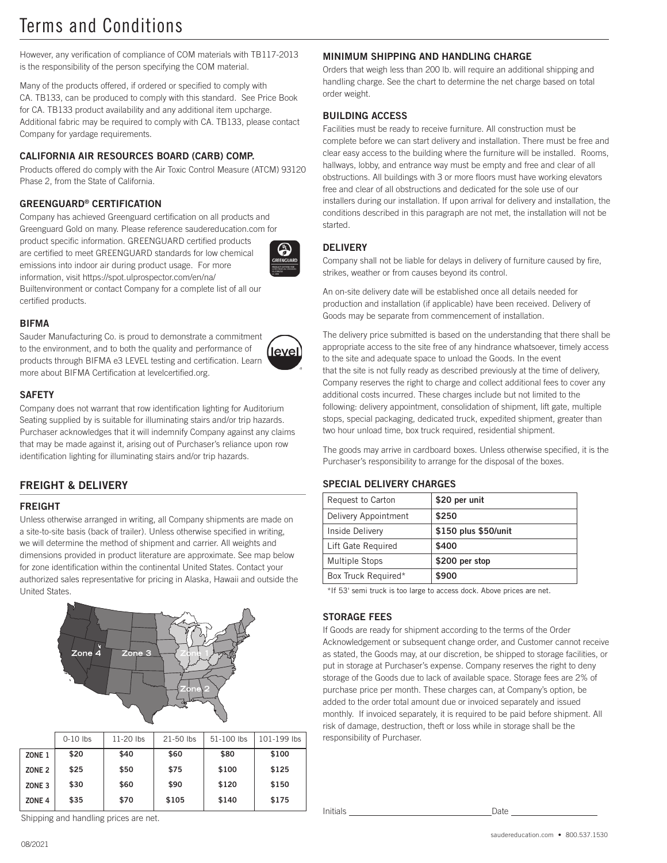# Terms and Conditions

However, any verification of compliance of COM materials with TB117-2013 is the responsibility of the person specifying the COM material.

Many of the products offered, if ordered or specified to comply with CA. TB133, can be produced to comply with this standard. See Price Book for CA. TB133 product availability and any additional item upcharge. Additional fabric may be required to comply with CA. TB133, please contact Company for yardage requirements.

# CALIFORNIA AIR RESOURCES BOARD (CARB) COMP.

Products offered do comply with the Air Toxic Control Measure (ATCM) 93120 Phase 2, from the State of California.

# GREENGUARD® CERTIFICATION

Company has achieved Greenguard certification on all products and Greenguard Gold on many. Please reference saudereducation.com for

product specific information. GREENGUARD certified products are certified to meet GREENGUARD standards for low chemical emissions into indoor air during product usage. For more information, visit https://spot.ulprospector.com/en/na/

Builtenvironment or contact Company for a complete list of all our certified products.

# **BIFMA**

Sauder Manufacturing Co. is proud to demonstrate a commitment to the environment, and to both the quality and performance of products through BIFMA e3 LEVEL testing and certification. Learn more about BIFMA Certification at levelcertified.org.



### **SAFFTY**

Company does not warrant that row identification lighting for Auditorium Seating supplied by is suitable for illuminating stairs and/or trip hazards. Purchaser acknowledges that it will indemnify Company against any claims that may be made against it, arising out of Purchaser's reliance upon row identification lighting for illuminating stairs and/or trip hazards.

# FREIGHT & DELIVERY

# FREIGHT

Unless otherwise arranged in writing, all Company shipments are made on a site-to-site basis (back of trailer). Unless otherwise specified in writing, we will determine the method of shipment and carrier. All weights and dimensions provided in product literature are approximate. See map below for zone identification within the continental United States. Contact your authorized sales representative for pricing in Alaska, Hawaii and outside the United States.



|                   | $0-10$ lbs | $11-20$ lbs | $21 - 50$ lbs | 51-100 lbs | 101-199 lbs |
|-------------------|------------|-------------|---------------|------------|-------------|
| ZONE <sub>1</sub> | \$20       | \$40        | \$60          | \$80       | \$100       |
| ZONE <sub>2</sub> | \$25       | \$50        | \$75          | \$100      | \$125       |
| ZONE <sub>3</sub> | \$30       | \$60        | \$90          | \$120      | \$150       |
| ZONE <sub>4</sub> | \$35       | \$70        | \$105         | \$140      | \$175       |

Shipping and handling prices are net.

# MINIMUM SHIPPING AND HANDLING CHARGE

Orders that weigh less than 200 lb. will require an additional shipping and handling charge. See the chart to determine the net charge based on total order weight.

### BUILDING ACCESS

Facilities must be ready to receive furniture. All construction must be complete before we can start delivery and installation. There must be free and clear easy access to the building where the furniture will be installed. Rooms, hallways, lobby, and entrance way must be empty and free and clear of all obstructions. All buildings with 3 or more floors must have working elevators free and clear of all obstructions and dedicated for the sole use of our installers during our installation. If upon arrival for delivery and installation, the conditions described in this paragraph are not met, the installation will not be started.

### **DELIVERY**

Company shall not be liable for delays in delivery of furniture caused by fire, strikes, weather or from causes beyond its control.

An on-site delivery date will be established once all details needed for production and installation (if applicable) have been received. Delivery of Goods may be separate from commencement of installation.

The delivery price submitted is based on the understanding that there shall be appropriate access to the site free of any hindrance whatsoever, timely access to the site and adequate space to unload the Goods. In the event that the site is not fully ready as described previously at the time of delivery, Company reserves the right to charge and collect additional fees to cover any additional costs incurred. These charges include but not limited to the following: delivery appointment, consolidation of shipment, lift gate, multiple stops, special packaging, dedicated truck, expedited shipment, greater than two hour unload time, box truck required, residential shipment.

The goods may arrive in cardboard boxes. Unless otherwise specified, it is the Purchaser's responsibility to arrange for the disposal of the boxes.

#### SPECIAL DELIVERY CHARGES

| Request to Carton    | \$20 per unit        |
|----------------------|----------------------|
| Delivery Appointment | \$250                |
| Inside Delivery      | \$150 plus \$50/unit |
| Lift Gate Required   | \$400                |
| Multiple Stops       | \$200 per stop       |
| Box Truck Required*  | \$900                |

\*If 53' semi truck is too large to access dock. Above prices are net.

#### STORAGE FEES

If Goods are ready for shipment according to the terms of the Order Acknowledgement or subsequent change order, and Customer cannot receive as stated, the Goods may, at our discretion, be shipped to storage facilities, or put in storage at Purchaser's expense. Company reserves the right to deny storage of the Goods due to lack of available space. Storage fees are 2% of purchase price per month. These charges can, at Company's option, be added to the order total amount due or invoiced separately and issued monthly. If invoiced separately, it is required to be paid before shipment. All risk of damage, destruction, theft or loss while in storage shall be the responsibility of Purchaser.

Initials Date